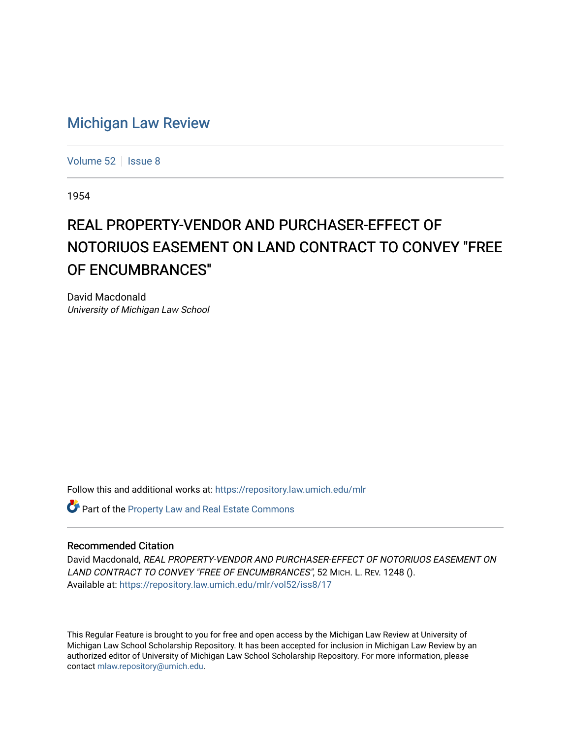## [Michigan Law Review](https://repository.law.umich.edu/mlr)

[Volume 52](https://repository.law.umich.edu/mlr/vol52) | [Issue 8](https://repository.law.umich.edu/mlr/vol52/iss8)

1954

## REAL PROPERTY-VENDOR AND PURCHASER-EFFECT OF NOTORIUOS EASEMENT ON LAND CONTRACT TO CONVEY "FREE OF ENCUMBRANCES"

David Macdonald University of Michigan Law School

Follow this and additional works at: [https://repository.law.umich.edu/mlr](https://repository.law.umich.edu/mlr?utm_source=repository.law.umich.edu%2Fmlr%2Fvol52%2Fiss8%2F17&utm_medium=PDF&utm_campaign=PDFCoverPages) 

Part of the [Property Law and Real Estate Commons](http://network.bepress.com/hgg/discipline/897?utm_source=repository.law.umich.edu%2Fmlr%2Fvol52%2Fiss8%2F17&utm_medium=PDF&utm_campaign=PDFCoverPages) 

## Recommended Citation

David Macdonald, REAL PROPERTY-VENDOR AND PURCHASER-EFFECT OF NOTORIUOS EASEMENT ON LAND CONTRACT TO CONVEY "FREE OF ENCUMBRANCES", 52 MICH. L. REV. 1248 (). Available at: [https://repository.law.umich.edu/mlr/vol52/iss8/17](https://repository.law.umich.edu/mlr/vol52/iss8/17?utm_source=repository.law.umich.edu%2Fmlr%2Fvol52%2Fiss8%2F17&utm_medium=PDF&utm_campaign=PDFCoverPages) 

This Regular Feature is brought to you for free and open access by the Michigan Law Review at University of Michigan Law School Scholarship Repository. It has been accepted for inclusion in Michigan Law Review by an authorized editor of University of Michigan Law School Scholarship Repository. For more information, please contact [mlaw.repository@umich.edu](mailto:mlaw.repository@umich.edu).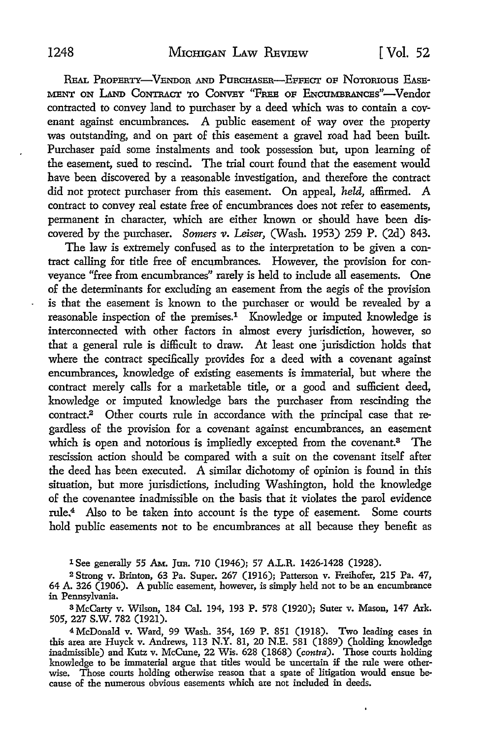REAL PROPERTY-VENDOR AND PURCHASER-EFFECT OF NOTORIOUS EASE-MENT ON LAND CONTRACT TO CONVEY "FREE OF ENCUMBRANCES"-Vendor contracted to convey land to purchaser by a deed which was to contain a covenant against encumbrances. A public easement of way over the property was outstanding, and on part of this easement a gravel road had been built. Purchaser paid some instalments and took possession but, upon learning of the easement, sued to rescind. The trial court found that the easement would have been discovered by a reasonable investigation, and therefore the contract did not protect purchaser from this easement. On appeal, *held,* affirmed. A contract to convey real estate free of encumbrances does not refer to easements, permanent in character, which are either known or should have been discovered by the purchaser. *Somers v. Leiser,* (Wash. 1953) 259 P. (2d) 843.

The law is extremely confused as to the interpretation to be given a contract calling for title free of encumbrances. However, the provision for conveyance "free from encumbrances" rarely is held to include all easements. One of the determinants for excluding an easement from the aegis of the provision is that the easement is known to the purchaser or would be revealed by a reasonable inspection of the premises.<sup>1</sup> Knowledge or imputed knowledge is interconnected with other factors in almost every jurisdiction, however, so that a general rule is difficult to draw. At least one 'jurisdiction holds that where the contract specifically provides for a deed with a covenant against encumbrances, knowledge of existing easements is immaterial, but where the contract merely calls for a marketable title, or a good and sufficient deed, knowledge or imputed knowledge bars the purchaser from rescinding the contract.<sup>2</sup> Other courts rule in accordance with the principal case that regardless of the provision for a covenant against encumbrances, an easement which is open and notorious is impliedly excepted from the covenant.<sup>3</sup> The rescission action should be compared with a suit on the covenant itself after the deed has been executed. A similar dichotomy of opinion is found in this situation, but more jurisdictions, including Washington, hold the knowledge of the covenantee inadmissible on the basis that it violates the parol evidence rule.4 Also to be taken into account is the type of easement. Some courts hold public easements not to be encumbrances at all because they benefit as

1 See generally 55 AM. Jun. 710 (1946); 57 A.L.R. 1426-1428 (1928).

2 Strong v. Brinton, 63 Pa. Super. 267 (1916); Patterson v. Freihofer, 215 Pa. 47, 64 A. 326 (1906). A public easement, however, is simply held not to be an encumbrance in Pennsylvania.

3 McCarty v. Wilson, 184 Cal. 194, 193 P. 578 (1920); Suter v. Mason, 147 Ark. 505, 227 s.w. 782 (1921).

<sup>4</sup>McDonald v. Ward, 99 Wash. 354, 169 P. 851 (1918). Two leading cases in this area are Huyck v. Andrews, 113 N.Y. 81, 20 N.E. 581 (1889) (holding knowledge inadmissible) and Kutz v. McCune, 22 Wis. 628 (1868) *(contra).* Those courts holding knowledge to be immaterial argue that titles would be uncertain jf the rule were otherwise. Those courts holding otherwise reason that a spate of litigation would ensue because of the numerous obvious easements which are not included in deeds.

ł.